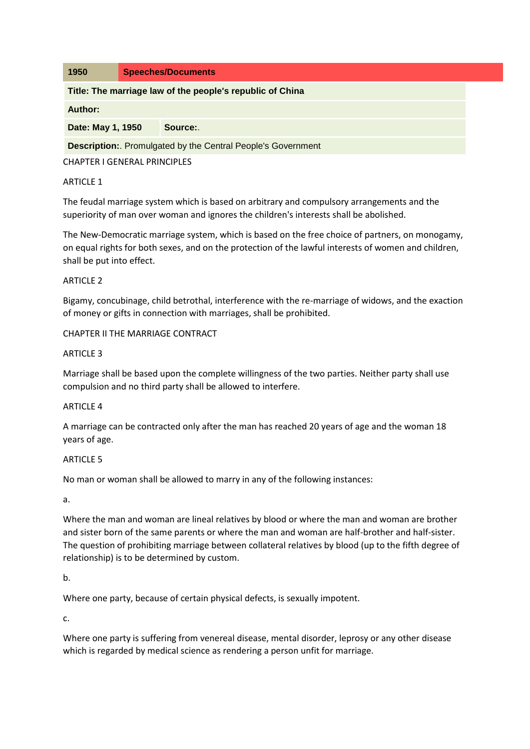| 1950                                                                |  | <b>Speeches/Documents</b> |  |
|---------------------------------------------------------------------|--|---------------------------|--|
| Title: The marriage law of the people's republic of China           |  |                           |  |
| Author:                                                             |  |                           |  |
| Date: May 1, 1950                                                   |  | Source:                   |  |
| <b>Description:.</b> Promulgated by the Central People's Government |  |                           |  |

CHAPTER I GENERAL PRINCIPLES

## ARTICLE 1

The feudal marriage system which is based on arbitrary and compulsory arrangements and the superiority of man over woman and ignores the children's interests shall be abolished.

The New-Democratic marriage system, which is based on the free choice of partners, on monogamy, on equal rights for both sexes, and on the protection of the lawful interests of women and children, shall be put into effect.

## ARTICLE 2

Bigamy, concubinage, child betrothal, interference with the re-marriage of widows, and the exaction of money or gifts in connection with marriages, shall be prohibited.

## CHAPTER II THE MARRIAGE CONTRACT

## ARTICLE 3

Marriage shall be based upon the complete willingness of the two parties. Neither party shall use compulsion and no third party shall be allowed to interfere.

# ARTICLE 4

A marriage can be contracted only after the man has reached 20 years of age and the woman 18 years of age.

# ARTICLE 5

No man or woman shall be allowed to marry in any of the following instances:

a.

Where the man and woman are lineal relatives by blood or where the man and woman are brother and sister born of the same parents or where the man and woman are half-brother and half-sister. The question of prohibiting marriage between collateral relatives by blood (up to the fifth degree of relationship) is to be determined by custom.

b.

Where one party, because of certain physical defects, is sexually impotent.

c.

Where one party is suffering from venereal disease, mental disorder, leprosy or any other disease which is regarded by medical science as rendering a person unfit for marriage.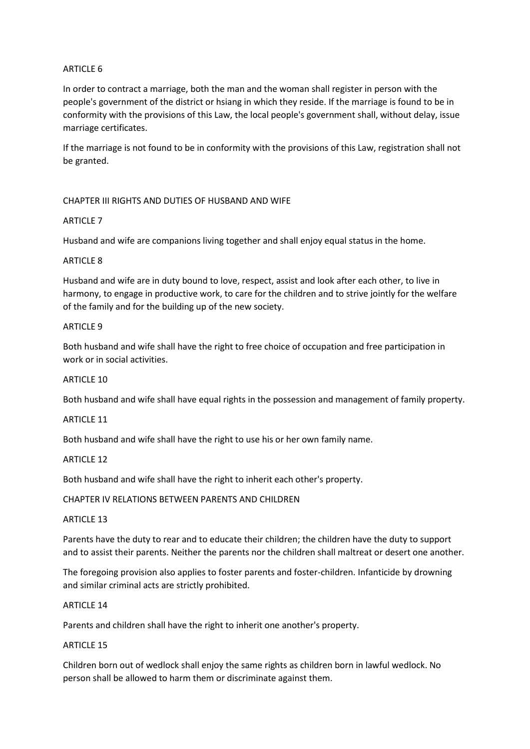# ARTICLE 6

In order to contract a marriage, both the man and the woman shall register in person with the people's government of the district or hsiang in which they reside. If the marriage is found to be in conformity with the provisions of this Law, the local people's government shall, without delay, issue marriage certificates.

If the marriage is not found to be in conformity with the provisions of this Law, registration shall not be granted.

### CHAPTER III RIGHTS AND DUTIES OF HUSBAND AND WIFE

### ARTICLE 7

Husband and wife are companions living together and shall enjoy equal status in the home.

### ARTICLE 8

Husband and wife are in duty bound to love, respect, assist and look after each other, to live in harmony, to engage in productive work, to care for the children and to strive jointly for the welfare of the family and for the building up of the new society.

### ARTICLE 9

Both husband and wife shall have the right to free choice of occupation and free participation in work or in social activities.

### ARTICLE 10

Both husband and wife shall have equal rights in the possession and management of family property.

### ARTICLE 11

Both husband and wife shall have the right to use his or her own family name.

### ARTICLE 12

Both husband and wife shall have the right to inherit each other's property.

CHAPTER IV RELATIONS BETWEEN PARENTS AND CHILDREN

### ARTICLE 13

Parents have the duty to rear and to educate their children; the children have the duty to support and to assist their parents. Neither the parents nor the children shall maltreat or desert one another.

The foregoing provision also applies to foster parents and foster-children. Infanticide by drowning and similar criminal acts are strictly prohibited.

### ARTICLE 14

Parents and children shall have the right to inherit one another's property.

### ARTICLE 15

Children born out of wedlock shall enjoy the same rights as children born in lawful wedlock. No person shall be allowed to harm them or discriminate against them.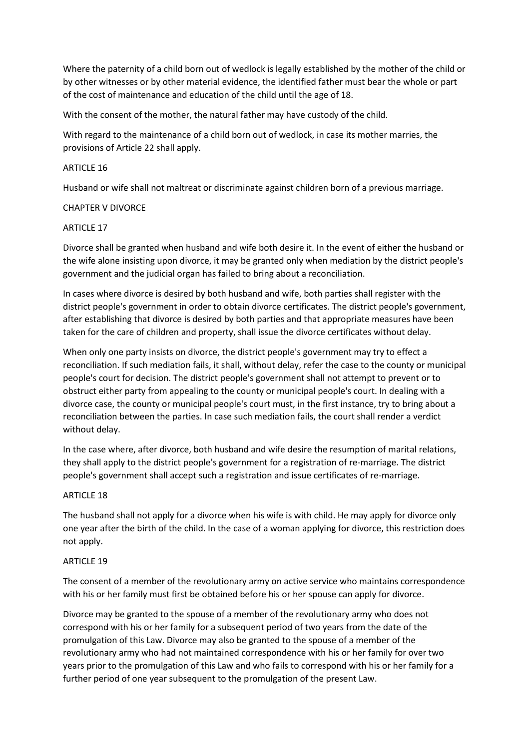Where the paternity of a child born out of wedlock is legally established by the mother of the child or by other witnesses or by other material evidence, the identified father must bear the whole or part of the cost of maintenance and education of the child until the age of 18.

With the consent of the mother, the natural father may have custody of the child.

With regard to the maintenance of a child born out of wedlock, in case its mother marries, the provisions of Article 22 shall apply.

### ARTICLE 16

Husband or wife shall not maltreat or discriminate against children born of a previous marriage.

## CHAPTER V DIVORCE

## ARTICLE 17

Divorce shall be granted when husband and wife both desire it. In the event of either the husband or the wife alone insisting upon divorce, it may be granted only when mediation by the district people's government and the judicial organ has failed to bring about a reconciliation.

In cases where divorce is desired by both husband and wife, both parties shall register with the district people's government in order to obtain divorce certificates. The district people's government, after establishing that divorce is desired by both parties and that appropriate measures have been taken for the care of children and property, shall issue the divorce certificates without delay.

When only one party insists on divorce, the district people's government may try to effect a reconciliation. If such mediation fails, it shall, without delay, refer the case to the county or municipal people's court for decision. The district people's government shall not attempt to prevent or to obstruct either party from appealing to the county or municipal people's court. In dealing with a divorce case, the county or municipal people's court must, in the first instance, try to bring about a reconciliation between the parties. In case such mediation fails, the court shall render a verdict without delay.

In the case where, after divorce, both husband and wife desire the resumption of marital relations, they shall apply to the district people's government for a registration of re-marriage. The district people's government shall accept such a registration and issue certificates of re-marriage.

# ARTICLE 18

The husband shall not apply for a divorce when his wife is with child. He may apply for divorce only one year after the birth of the child. In the case of a woman applying for divorce, this restriction does not apply.

### ARTICLE 19

The consent of a member of the revolutionary army on active service who maintains correspondence with his or her family must first be obtained before his or her spouse can apply for divorce.

Divorce may be granted to the spouse of a member of the revolutionary army who does not correspond with his or her family for a subsequent period of two years from the date of the promulgation of this Law. Divorce may also be granted to the spouse of a member of the revolutionary army who had not maintained correspondence with his or her family for over two years prior to the promulgation of this Law and who fails to correspond with his or her family for a further period of one year subsequent to the promulgation of the present Law.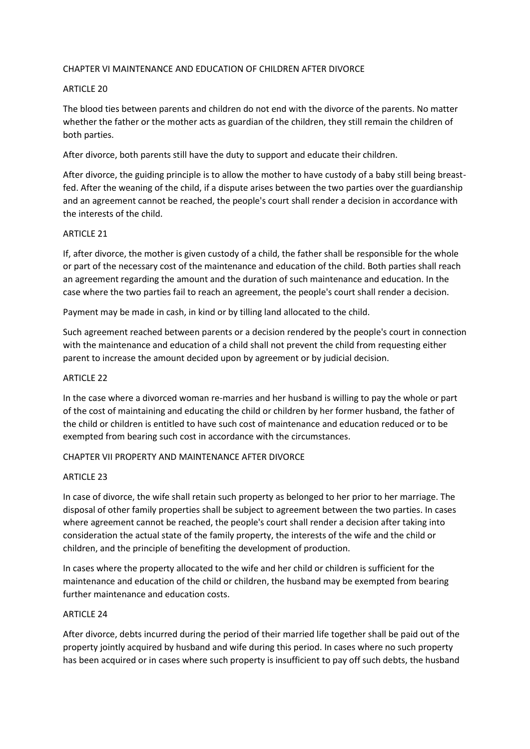## CHAPTER VI MAINTENANCE AND EDUCATION OF CHILDREN AFTER DIVORCE

### ARTICLE 20

The blood ties between parents and children do not end with the divorce of the parents. No matter whether the father or the mother acts as guardian of the children, they still remain the children of both parties.

After divorce, both parents still have the duty to support and educate their children.

After divorce, the guiding principle is to allow the mother to have custody of a baby still being breastfed. After the weaning of the child, if a dispute arises between the two parties over the guardianship and an agreement cannot be reached, the people's court shall render a decision in accordance with the interests of the child.

## ARTICLE 21

If, after divorce, the mother is given custody of a child, the father shall be responsible for the whole or part of the necessary cost of the maintenance and education of the child. Both parties shall reach an agreement regarding the amount and the duration of such maintenance and education. In the case where the two parties fail to reach an agreement, the people's court shall render a decision.

Payment may be made in cash, in kind or by tilling land allocated to the child.

Such agreement reached between parents or a decision rendered by the people's court in connection with the maintenance and education of a child shall not prevent the child from requesting either parent to increase the amount decided upon by agreement or by judicial decision.

### ARTICLE 22

In the case where a divorced woman re-marries and her husband is willing to pay the whole or part of the cost of maintaining and educating the child or children by her former husband, the father of the child or children is entitled to have such cost of maintenance and education reduced or to be exempted from bearing such cost in accordance with the circumstances.

### CHAPTER VII PROPERTY AND MAINTENANCE AFTER DIVORCE

### ARTICLE 23

In case of divorce, the wife shall retain such property as belonged to her prior to her marriage. The disposal of other family properties shall be subject to agreement between the two parties. In cases where agreement cannot be reached, the people's court shall render a decision after taking into consideration the actual state of the family property, the interests of the wife and the child or children, and the principle of benefiting the development of production.

In cases where the property allocated to the wife and her child or children is sufficient for the maintenance and education of the child or children, the husband may be exempted from bearing further maintenance and education costs.

### ARTICLE 24

After divorce, debts incurred during the period of their married life together shall be paid out of the property jointly acquired by husband and wife during this period. In cases where no such property has been acquired or in cases where such property is insufficient to pay off such debts, the husband